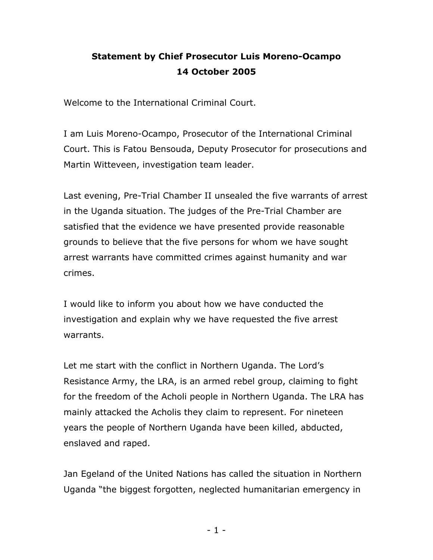## **Statement by Chief Prosecutor Luis Moreno-Ocampo 14 October 2005**

Welcome to the International Criminal Court.

I am Luis Moreno-Ocampo, Prosecutor of the International Criminal Court. This is Fatou Bensouda, Deputy Prosecutor for prosecutions and Martin Witteveen, investigation team leader.

Last evening, Pre-Trial Chamber II unsealed the five warrants of arrest in the Uganda situation. The judges of the Pre-Trial Chamber are satisfied that the evidence we have presented provide reasonable grounds to believe that the five persons for whom we have sought arrest warrants have committed crimes against humanity and war crimes.

I would like to inform you about how we have conducted the investigation and explain why we have requested the five arrest warrants.

Let me start with the conflict in Northern Uganda. The Lord's Resistance Army, the LRA, is an armed rebel group, claiming to fight for the freedom of the Acholi people in Northern Uganda. The LRA has mainly attacked the Acholis they claim to represent. For nineteen years the people of Northern Uganda have been killed, abducted, enslaved and raped.

Jan Egeland of the United Nations has called the situation in Northern Uganda "the biggest forgotten, neglected humanitarian emergency in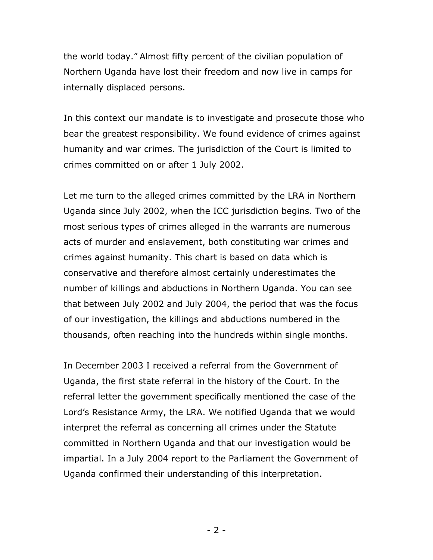the world today." Almost fifty percent of the civilian population of Northern Uganda have lost their freedom and now live in camps for internally displaced persons.

In this context our mandate is to investigate and prosecute those who bear the greatest responsibility. We found evidence of crimes against humanity and war crimes. The jurisdiction of the Court is limited to crimes committed on or after 1 July 2002.

Let me turn to the alleged crimes committed by the LRA in Northern Uganda since July 2002, when the ICC jurisdiction begins. Two of the most serious types of crimes alleged in the warrants are numerous acts of murder and enslavement, both constituting war crimes and crimes against humanity. This chart is based on data which is conservative and therefore almost certainly underestimates the number of killings and abductions in Northern Uganda. You can see that between July 2002 and July 2004, the period that was the focus of our investigation, the killings and abductions numbered in the thousands, often reaching into the hundreds within single months.

In December 2003 I received a referral from the Government of Uganda, the first state referral in the history of the Court. In the referral letter the government specifically mentioned the case of the Lord's Resistance Army, the LRA. We notified Uganda that we would interpret the referral as concerning all crimes under the Statute committed in Northern Uganda and that our investigation would be impartial. In a July 2004 report to the Parliament the Government of Uganda confirmed their understanding of this interpretation.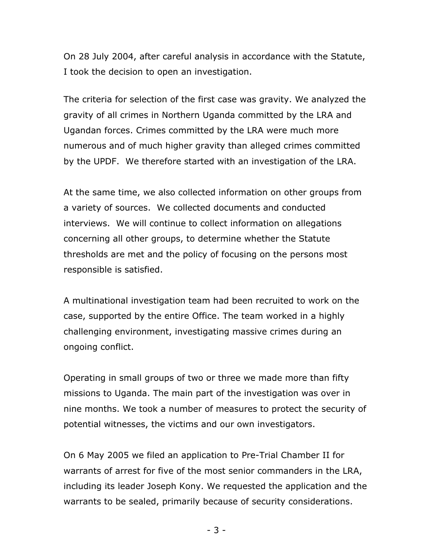On 28 July 2004, after careful analysis in accordance with the Statute, I took the decision to open an investigation.

The criteria for selection of the first case was gravity. We analyzed the gravity of all crimes in Northern Uganda committed by the LRA and Ugandan forces. Crimes committed by the LRA were much more numerous and of much higher gravity than alleged crimes committed by the UPDF. We therefore started with an investigation of the LRA.

At the same time, we also collected information on other groups from a variety of sources. We collected documents and conducted interviews. We will continue to collect information on allegations concerning all other groups, to determine whether the Statute thresholds are met and the policy of focusing on the persons most responsible is satisfied.

A multinational investigation team had been recruited to work on the case, supported by the entire Office. The team worked in a highly challenging environment, investigating massive crimes during an ongoing conflict.

Operating in small groups of two or three we made more than fifty missions to Uganda. The main part of the investigation was over in nine months. We took a number of measures to protect the security of potential witnesses, the victims and our own investigators.

On 6 May 2005 we filed an application to Pre-Trial Chamber II for warrants of arrest for five of the most senior commanders in the LRA, including its leader Joseph Kony. We requested the application and the warrants to be sealed, primarily because of security considerations.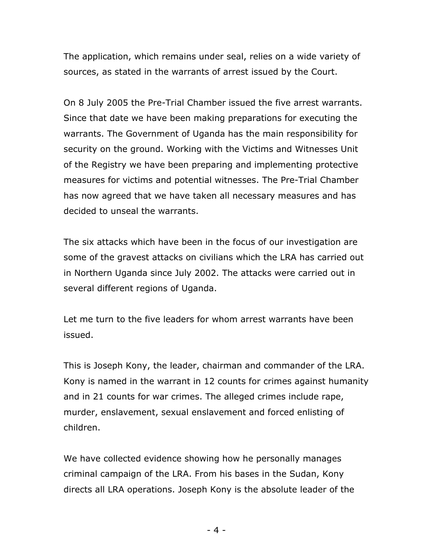The application, which remains under seal, relies on a wide variety of sources, as stated in the warrants of arrest issued by the Court.

On 8 July 2005 the Pre-Trial Chamber issued the five arrest warrants. Since that date we have been making preparations for executing the warrants. The Government of Uganda has the main responsibility for security on the ground. Working with the Victims and Witnesses Unit of the Registry we have been preparing and implementing protective measures for victims and potential witnesses. The Pre-Trial Chamber has now agreed that we have taken all necessary measures and has decided to unseal the warrants.

The six attacks which have been in the focus of our investigation are some of the gravest attacks on civilians which the LRA has carried out in Northern Uganda since July 2002. The attacks were carried out in several different regions of Uganda.

Let me turn to the five leaders for whom arrest warrants have been issued.

This is Joseph Kony, the leader, chairman and commander of the LRA. Kony is named in the warrant in 12 counts for crimes against humanity and in 21 counts for war crimes. The alleged crimes include rape, murder, enslavement, sexual enslavement and forced enlisting of children.

We have collected evidence showing how he personally manages criminal campaign of the LRA. From his bases in the Sudan, Kony directs all LRA operations. Joseph Kony is the absolute leader of the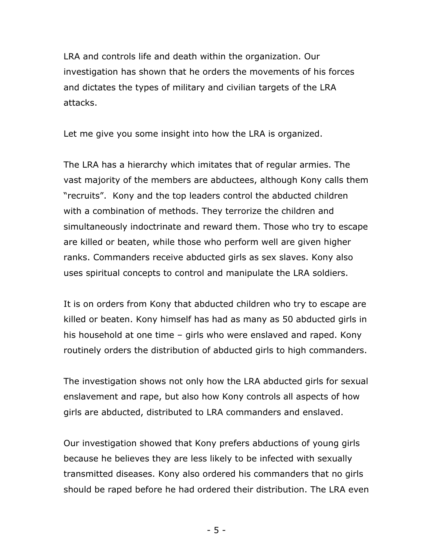LRA and controls life and death within the organization. Our investigation has shown that he orders the movements of his forces and dictates the types of military and civilian targets of the LRA attacks.

Let me give you some insight into how the LRA is organized.

The LRA has a hierarchy which imitates that of regular armies. The vast majority of the members are abductees, although Kony calls them "recruits". Kony and the top leaders control the abducted children with a combination of methods. They terrorize the children and simultaneously indoctrinate and reward them. Those who try to escape are killed or beaten, while those who perform well are given higher ranks. Commanders receive abducted girls as sex slaves. Kony also uses spiritual concepts to control and manipulate the LRA soldiers.

It is on orders from Kony that abducted children who try to escape are killed or beaten. Kony himself has had as many as 50 abducted girls in his household at one time – girls who were enslaved and raped. Kony routinely orders the distribution of abducted girls to high commanders.

The investigation shows not only how the LRA abducted girls for sexual enslavement and rape, but also how Kony controls all aspects of how girls are abducted, distributed to LRA commanders and enslaved.

Our investigation showed that Kony prefers abductions of young girls because he believes they are less likely to be infected with sexually transmitted diseases. Kony also ordered his commanders that no girls should be raped before he had ordered their distribution. The LRA even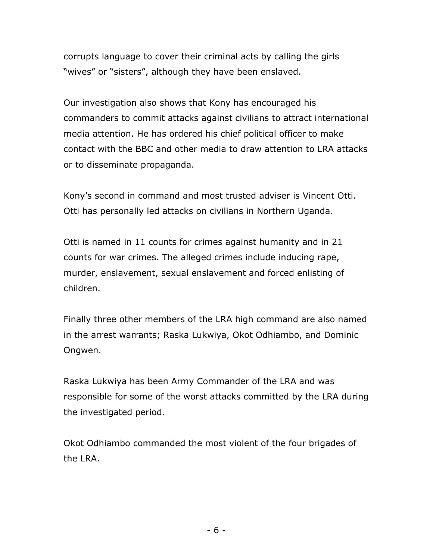corrupts language to cover their criminal acts by calling the girls "wives" or "sisters", although they have been enslaved.

Our investigation also shows that Kony has encouraged his commanders to commit attacks against civilians to attract international media attention. He has ordered his chief political officer to make contact with the BBC and other media to draw attention to LRA attacks or to disseminate propaganda.

Kony's second in command and most trusted adviser is Vincent Otti. Otti has personally led attacks on civilians in Northern Uganda.

Otti is named in 11 counts for crimes against humanity and in 21 counts for war crimes. The alleged crimes include inducing rape, murder, enslavement, sexual enslavement and forced enlisting of children.

Finally three other members of the LRA high command are also named in the arrest warrants; Raska Lukwiya, Okot Odhiambo, and Dominic Ongwen.

Raska Lukwiya has been Army Commander of the LRA and was responsible for some of the worst attacks committed by the LRA during the investigated period.

Okot Odhiambo commanded the most violent of the four brigades of the LRA.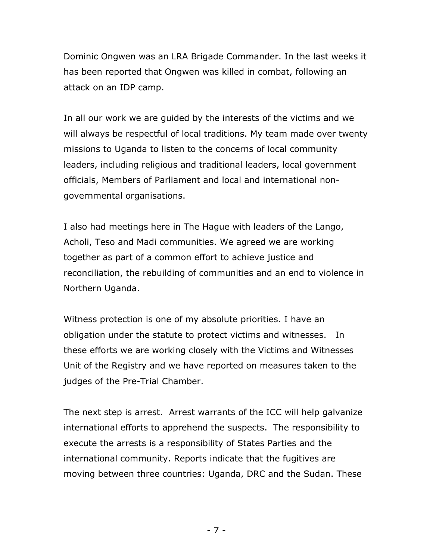Dominic Ongwen was an LRA Brigade Commander. In the last weeks it has been reported that Ongwen was killed in combat, following an attack on an IDP camp.

In all our work we are guided by the interests of the victims and we will always be respectful of local traditions. My team made over twenty missions to Uganda to listen to the concerns of local community leaders, including religious and traditional leaders, local government officials, Members of Parliament and local and international nongovernmental organisations.

I also had meetings here in The Hague with leaders of the Lango, Acholi, Teso and Madi communities. We agreed we are working together as part of a common effort to achieve justice and reconciliation, the rebuilding of communities and an end to violence in Northern Uganda.

Witness protection is one of my absolute priorities. I have an obligation under the statute to protect victims and witnesses. In these efforts we are working closely with the Victims and Witnesses Unit of the Registry and we have reported on measures taken to the judges of the Pre-Trial Chamber.

The next step is arrest. Arrest warrants of the ICC will help galvanize international efforts to apprehend the suspects. The responsibility to execute the arrests is a responsibility of States Parties and the international community. Reports indicate that the fugitives are moving between three countries: Uganda, DRC and the Sudan. These